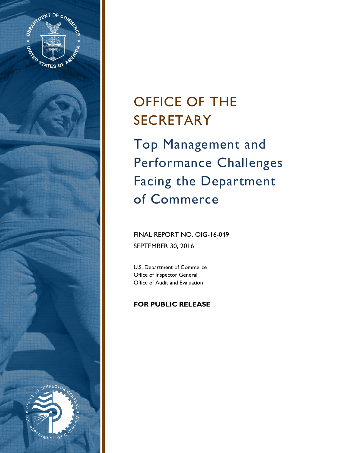

# OFFICE OF THE SECRETARY

Top Management and Performance Challenges Facing the Department of Commerce

# FINAL REPORT NO. OIG-16-049 SEPTEMBER 30, 2016

U.S. Department of Commerce Office of Inspector General Office of Audit and Evaluation

# **FOR PUBLIC RELEASE**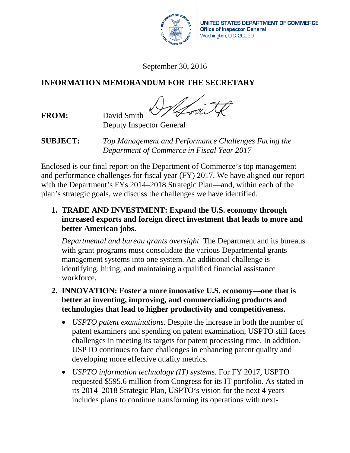

UNITED STATES DEPARTMENT OF COMMERCE **Office of Inspector General** Washington, D.C. 20230

September 30, 2016

# **INFORMATION MEMORANDUM FOR THE SECRETARY**

**FROM:** David Smith

Deputy Inspector General

**SUBJECT:** *Top Management and Performance Challenges Facing the Department of Commerce in Fiscal Year 2017* 

Enclosed is our final report on the Department of Commerce's top management and performance challenges for fiscal year (FY) 2017. We have aligned our report with the Department's FYs 2014–2018 Strategic Plan—and, within each of the plan's strategic goals, we discuss the challenges we have identified.

**1. TRADE AND INVESTMENT: Expand the U.S. economy through increased exports and foreign direct investment that leads to more and better American jobs.**

*Departmental and bureau grants oversight*. The Department and its bureaus with grant programs must consolidate the various Departmental grants management systems into one system. An additional challenge is identifying, hiring, and maintaining a qualified financial assistance workforce.

- **2. INNOVATION: Foster a more innovative U.S. economy—one that is better at inventing, improving, and commercializing products and technologies that lead to higher productivity and competitiveness.**
	- *USPTO patent examinations*. Despite the increase in both the number of patent examiners and spending on patent examination, USPTO still faces challenges in meeting its targets for patent processing time. In addition, USPTO continues to face challenges in enhancing patent quality and developing more effective quality metrics.
	- *USPTO information technology (IT) systems*. For FY 2017, USPTO requested \$595.6 million from Congress for its IT portfolio. As stated in its 2014–2018 Strategic Plan, USPTO's vision for the next 4 years includes plans to continue transforming its operations with next-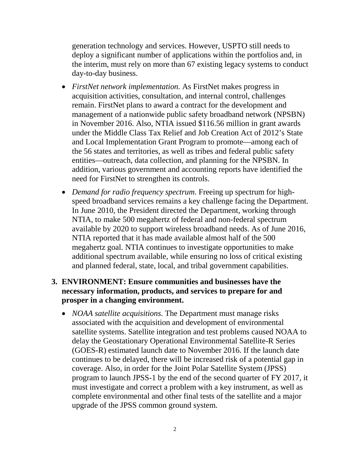generation technology and services. However, USPTO still needs to deploy a significant number of applications within the portfolios and, in the interim, must rely on more than 67 existing legacy systems to conduct day-to-day business.

- *FirstNet network implementation.* As FirstNet makes progress in acquisition activities, consultation, and internal control, challenges remain. FirstNet plans to award a contract for the development and management of a nationwide public safety broadband network (NPSBN) in November 2016. Also, NTIA issued \$116.56 million in grant awards under the Middle Class Tax Relief and Job Creation Act of 2012's State and Local Implementation Grant Program to promote—among each of the 56 states and territories, as well as tribes and federal public safety entities—outreach, data collection, and planning for the NPSBN. In addition, various government and accounting reports have identified the need for FirstNet to strengthen its controls.
- *Demand for radio frequency spectrum.* Freeing up spectrum for highspeed broadband services remains a key challenge facing the Department. In June 2010, the President directed the Department, working through NTIA, to make 500 megahertz of federal and non-federal spectrum available by 2020 to support wireless broadband needs. As of June 2016, NTIA reported that it has made available almost half of the 500 megahertz goal. NTIA continues to investigate opportunities to make additional spectrum available, while ensuring no loss of critical existing and planned federal, state, local, and tribal government capabilities.

# **3. ENVIRONMENT: Ensure communities and businesses have the necessary information, products, and services to prepare for and prosper in a changing environment.**

• *NOAA satellite acquisitions.* The Department must manage risks associated with the acquisition and development of environmental satellite systems. Satellite integration and test problems caused NOAA to delay the Geostationary Operational Environmental Satellite-R Series (GOES-R) estimated launch date to November 2016. If the launch date continues to be delayed, there will be increased risk of a potential gap in coverage. Also, in order for the Joint Polar Satellite System (JPSS) program to launch JPSS-1 by the end of the second quarter of FY 2017, it must investigate and correct a problem with a key instrument, as well as complete environmental and other final tests of the satellite and a major upgrade of the JPSS common ground system.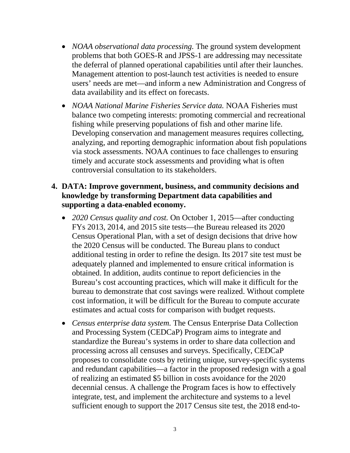- *NOAA observational data processing.* The ground system development problems that both GOES-R and JPSS-1 are addressing may necessitate the deferral of planned operational capabilities until after their launches. Management attention to post-launch test activities is needed to ensure users' needs are met—and inform a new Administration and Congress of data availability and its effect on forecasts.
- *NOAA National Marine Fisheries Service data.* NOAA Fisheries must balance two competing interests: promoting commercial and recreational fishing while preserving populations of fish and other marine life. Developing conservation and management measures requires collecting, analyzing, and reporting demographic information about fish populations via stock assessments. NOAA continues to face challenges to ensuring timely and accurate stock assessments and providing what is often controversial consultation to its stakeholders.

# **4. DATA: Improve government, business, and community decisions and knowledge by transforming Department data capabilities and supporting a data-enabled economy.**

- *2020 Census quality and cost.* On October 1, 2015—after conducting FYs 2013, 2014, and 2015 site tests—the Bureau released its 2020 Census Operational Plan, with a set of design decisions that drive how the 2020 Census will be conducted. The Bureau plans to conduct additional testing in order to refine the design. Its 2017 site test must be adequately planned and implemented to ensure critical information is obtained. In addition, audits continue to report deficiencies in the Bureau's cost accounting practices, which will make it difficult for the bureau to demonstrate that cost savings were realized. Without complete cost information, it will be difficult for the Bureau to compute accurate estimates and actual costs for comparison with budget requests.
- *Census enterprise data system.* The Census Enterprise Data Collection and Processing System (CEDCaP) Program aims to integrate and standardize the Bureau's systems in order to share data collection and processing across all censuses and surveys. Specifically, CEDCaP proposes to consolidate costs by retiring unique, survey-specific systems and redundant capabilities—a factor in the proposed redesign with a goal of realizing an estimated \$5 billion in costs avoidance for the 2020 decennial census. A challenge the Program faces is how to effectively integrate, test, and implement the architecture and systems to a level sufficient enough to support the 2017 Census site test, the 2018 end-to-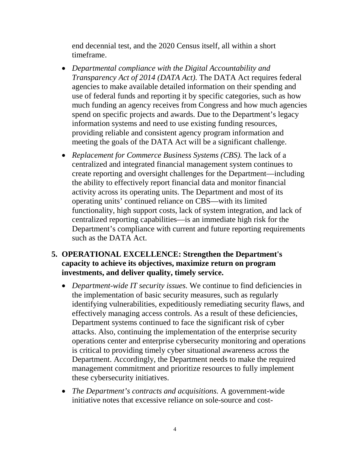end decennial test, and the 2020 Census itself, all within a short timeframe.

- *Departmental compliance with the Digital Accountability and Transparency Act of 2014 (DATA Act).* The DATA Act requires federal agencies to make available detailed information on their spending and use of federal funds and reporting it by specific categories, such as how much funding an agency receives from Congress and how much agencies spend on specific projects and awards. Due to the Department's legacy information systems and need to use existing funding resources, providing reliable and consistent agency program information and meeting the goals of the DATA Act will be a significant challenge.
- *Replacement for Commerce Business Systems (CBS).* The lack of a centralized and integrated financial management system continues to create reporting and oversight challenges for the Department—including the ability to effectively report financial data and monitor financial activity across its operating units. The Department and most of its operating units' continued reliance on CBS—with its limited functionality, high support costs, lack of system integration, and lack of centralized reporting capabilities—is an immediate high risk for the Department's compliance with current and future reporting requirements such as the DATA Act.

# **5. OPERATIONAL EXCELLENCE: Strengthen the Department's capacity to achieve its objectives, maximize return on program investments, and deliver quality, timely service.**

- *Department-wide IT security issues.* We continue to find deficiencies in the implementation of basic security measures, such as regularly identifying vulnerabilities, expeditiously remediating security flaws, and effectively managing access controls. As a result of these deficiencies, Department systems continued to face the significant risk of cyber attacks. Also, continuing the implementation of the enterprise security operations center and enterprise cybersecurity monitoring and operations is critical to providing timely cyber situational awareness across the Department. Accordingly, the Department needs to make the required management commitment and prioritize resources to fully implement these cybersecurity initiatives.
- *The Department's contracts and acquisitions.* A government-wide initiative notes that excessive reliance on sole-source and cost-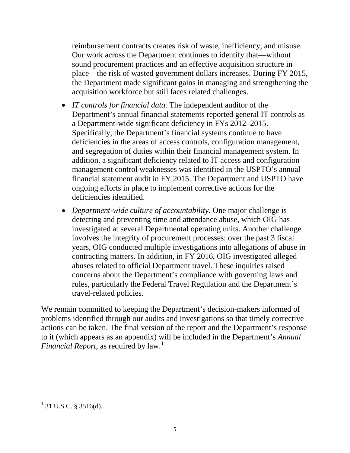reimbursement contracts creates risk of waste, inefficiency, and misuse. Our work across the Department continues to identify that—without sound procurement practices and an effective acquisition structure in place—the risk of wasted government dollars increases. During FY 2015, the Department made significant gains in managing and strengthening the acquisition workforce but still faces related challenges.

- *IT controls for financial data.* The independent auditor of the Department's annual financial statements reported general IT controls as a Department-wide significant deficiency in FYs 2012–2015. Specifically, the Department's financial systems continue to have deficiencies in the areas of access controls, configuration management, and segregation of duties within their financial management system. In addition, a significant deficiency related to IT access and configuration management control weaknesses was identified in the USPTO's annual financial statement audit in FY 2015. The Department and USPTO have ongoing efforts in place to implement corrective actions for the deficiencies identified.
- *Department-wide culture of accountability*. One major challenge is detecting and preventing time and attendance abuse, which OIG has investigated at several Departmental operating units. Another challenge involves the integrity of procurement processes: over the past 3 fiscal years, OIG conducted multiple investigations into allegations of abuse in contracting matters. In addition, in FY 2016, OIG investigated alleged abuses related to official Department travel. These inquiries raised concerns about the Department's compliance with governing laws and rules, particularly the Federal Travel Regulation and the Department's travel-related policies.

We remain committed to keeping the Department's decision-makers informed of problems identified through our audits and investigations so that timely corrective actions can be taken. The final version of the report and the Department's response to it (which appears as an appendix) will be included in the Department's *Annual Financial Report*, as required by law.<sup>[1](#page-5-0)</sup>

<span id="page-5-0"></span> $\frac{1}{1}$  31 U.S.C. § 3516(d).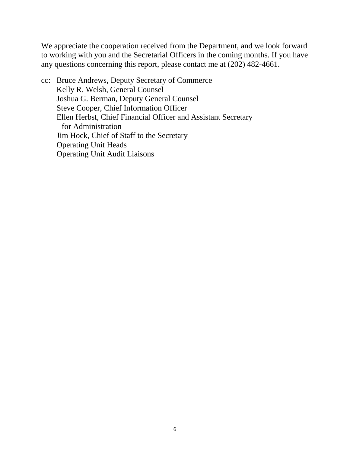We appreciate the cooperation received from the Department, and we look forward to working with you and the Secretarial Officers in the coming months. If you have any questions concerning this report, please contact me at (202) 482-4661.

cc: Bruce Andrews, Deputy Secretary of Commerce Kelly R. Welsh, General Counsel Joshua G. Berman, Deputy General Counsel Steve Cooper, Chief Information Officer Ellen Herbst, Chief Financial Officer and Assistant Secretary for Administration Jim Hock, Chief of Staff to the Secretary Operating Unit Heads Operating Unit Audit Liaisons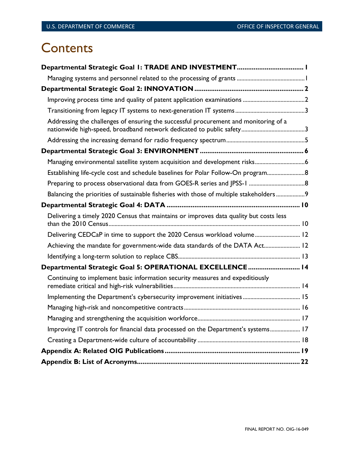# **Contents**

| Addressing the challenges of ensuring the successful procurement and monitoring of a    |
|-----------------------------------------------------------------------------------------|
|                                                                                         |
|                                                                                         |
| Managing environmental satellite system acquisition and development risks6              |
| Establishing life-cycle cost and schedule baselines for Polar Follow-On program 8       |
|                                                                                         |
| Balancing the priorities of sustainable fisheries with those of multiple stakeholders 9 |
|                                                                                         |
| Delivering a timely 2020 Census that maintains or improves data quality but costs less  |
| Delivering CEDCaP in time to support the 2020 Census workload volume 12                 |
| Achieving the mandate for government-wide data standards of the DATA Act 12             |
|                                                                                         |
| Departmental Strategic Goal 5: OPERATIONAL EXCELLENCE 14                                |
| Continuing to implement basic information security measures and expeditiously           |
|                                                                                         |
|                                                                                         |
|                                                                                         |
| Improving IT controls for financial data processed on the Department's systems 17       |
|                                                                                         |
|                                                                                         |
|                                                                                         |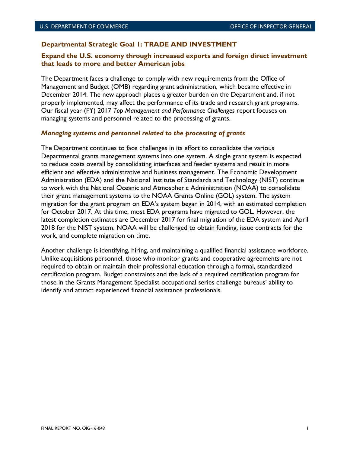#### <span id="page-8-0"></span>**Departmental Strategic Goal 1: TRADE AND INVESTMENT**

#### **Expand the U.S. economy through increased exports and foreign direct investment that leads to more and better American jobs**

The Department faces a challenge to comply with new requirements from the Office of Management and Budget (OMB) regarding grant administration, which became effective in December 2014. The new approach places a greater burden on the Department and, if not properly implemented, may affect the performance of its trade and research grant programs. Our fiscal year (FY) 2017 *Top Management and Performance Challenges* report focuses on managing systems and personnel related to the processing of grants.

#### <span id="page-8-1"></span>*Managing systems and personnel related to the processing of grants*

The Department continues to face challenges in its effort to consolidate the various Departmental grants management systems into one system. A single grant system is expected to reduce costs overall by consolidating interfaces and feeder systems and result in more efficient and effective administrative and business management. The Economic Development Administration (EDA) and the National Institute of Standards and Technology (NIST) continue to work with the National Oceanic and Atmospheric Administration (NOAA) to consolidate their grant management systems to the NOAA Grants Online (GOL) system. The system migration for the grant program on EDA's system began in 2014, with an estimated completion for October 2017. At this time, most EDA programs have migrated to GOL. However, the latest completion estimates are December 2017 for final migration of the EDA system and April 2018 for the NIST system. NOAA will be challenged to obtain funding, issue contracts for the work, and complete migration on time.

Another challenge is identifying, hiring, and maintaining a qualified financial assistance workforce. Unlike acquisitions personnel, those who monitor grants and cooperative agreements are not required to obtain or maintain their professional education through a formal, standardized certification program. Budget constraints and the lack of a required certification program for those in the Grants Management Specialist occupational series challenge bureaus' ability to identify and attract experienced financial assistance professionals.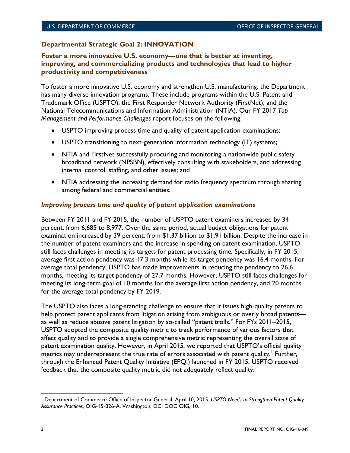# <span id="page-9-0"></span>**Departmental Strategic Goal 2: INNOVATION**

## **Foster a more innovative U.S. economy—one that is better at inventing, improving, and commercializing products and technologies that lead to higher productivity and competitiveness**

To foster a more innovative U.S. economy and strengthen U.S. manufacturing, the Department has many diverse innovation programs. These include programs within the U.S. Patent and Trademark Office (USPTO), the First Responder Network Authority (FirstNet), and the National Telecommunications and Information Administration (NTIA). Our FY 2017 *Top Management and Performance Challenges* report focuses on the following:

- USPTO improving process time and quality of patent application examinations;
- USPTO transitioning to next-generation information technology (IT) systems;
- NTIA and FirstNet successfully procuring and monitoring a nationwide public safety broadband network (NPSBN), effectively consulting with stakeholders, and addressing internal control, staffing, and other issues; and
- NTIA addressing the increasing demand for radio frequency spectrum through sharing among federal and commercial entities.

### <span id="page-9-1"></span>*Improving process time and quality of patent application examinations*

Between FY 2011 and FY 2015, the number of USPTO patent examiners increased by 34 percent, from 6,685 to 8,977. Over the same period, actual budget obligations for patent examination increased by 39 percent, from \$1.37 billion to \$1.91 billion. Despite the increase in the number of patent examiners and the increase in spending on patent examination, USPTO still faces challenges in meeting its targets for patent processing time. Specifically, in FY 2015, average first action pendency was 17.3 months while its target pendency was 16.4 months. For average total pendency, USPTO has made improvements in reducing the pendency to 26.6 months, meeting its target pendency of 27.7 months. However, USPTO still faces challenges for meeting its long-term goal of 10 months for the average first action pendency, and 20 months for the average total pendency by FY 2019.

The USPTO also faces a long-standing challenge to ensure that it issues high-quality patents to help protect patent applicants from litigation arising from ambiguous or overly broad patents as well as reduce abusive patent litigation by so-called "patent trolls." For FYs 2011–2015, USPTO adopted the composite quality metric to track performance of various factors that affect quality and to provide a single comprehensive metric representing the overall state of patent examination quality. However, in April 2015, we reported that USPTO's official quality metrics may underrepresent the true rate of errors associated with patent quality.' Further, through the Enhanced Patent Quality Initiative (EPQI) launched in FY 2015, USPTO received feedback that the composite quality metric did not adequately reflect quality.

<span id="page-9-2"></span>l <sup>1</sup> Department of Commerce Office of Inspector General, April 10, 2015. *USPTO Needs to Strengthen Patent Quality Assurance Practices,* OIG-15-026-A. Washington, DC: DOC OIG, 10.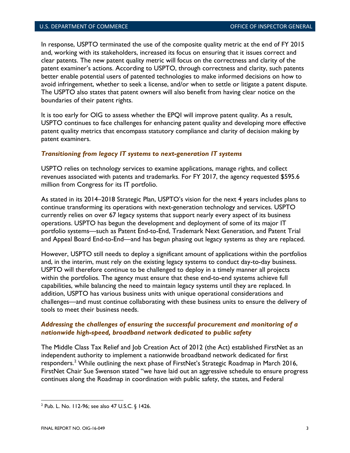In response, USPTO terminated the use of the composite quality metric at the end of FY 2015 and, working with its stakeholders, increased its focus on ensuring that it issues correct and clear patents. The new patent quality metric will focus on the correctness and clarity of the patent examiner's actions. According to USPTO, through correctness and clarity, such patents better enable potential users of patented technologies to make informed decisions on how to avoid infringement, whether to seek a license, and/or when to settle or litigate a patent dispute. The USPTO also states that patent owners will also benefit from having clear notice on the boundaries of their patent rights.

It is too early for OIG to assess whether the EPQI will improve patent quality. As a result, USPTO continues to face challenges for enhancing patent quality and developing more effective patent quality metrics that encompass statutory compliance and clarity of decision making by patent examiners.

#### <span id="page-10-0"></span>*Transitioning from legacy IT systems to next-generation IT systems*

USPTO relies on technology services to examine applications, manage rights, and collect revenues associated with patents and trademarks. For FY 2017, the agency requested \$595.6 million from Congress for its IT portfolio.

As stated in its 2014–2018 Strategic Plan, USPTO's vision for the next 4 years includes plans to continue transforming its operations with next-generation technology and services. USPTO currently relies on over 67 legacy systems that support nearly every aspect of its business operations. USPTO has begun the development and deployment of some of its major IT portfolio systems—such as Patent End-to-End, Trademark Next Generation, and Patent Trial and Appeal Board End-to-End—and has begun phasing out legacy systems as they are replaced.

However, USPTO still needs to deploy a significant amount of applications within the portfolios and, in the interim, must rely on the existing legacy systems to conduct day-to-day business. USPTO will therefore continue to be challenged to deploy in a timely manner all projects within the portfolios. The agency must ensure that these end-to-end systems achieve full capabilities, while balancing the need to maintain legacy systems until they are replaced. In addition, USPTO has various business units with unique operational considerations and challenges—and must continue collaborating with these business units to ensure the delivery of tools to meet their business needs.

#### <span id="page-10-1"></span>*Addressing the challenges of ensuring the successful procurement and monitoring of a nationwide high-speed, broadband network dedicated to public safety*

The Middle Class Tax Relief and Job Creation Act of 2012 (the Act) established FirstNet as an independent authority to implement a nationwide broadband network dedicated for first responders.<sup>[2](#page-10-2)</sup> While outlining the next phase of FirstNet's Strategic Roadmap in March 2016, FirstNet Chair Sue Swenson stated "we have laid out an aggressive schedule to ensure progress continues along the Roadmap in coordination with public safety, the states, and Federal

 $\overline{\phantom{a}}$ 

<span id="page-10-2"></span> $2$  Pub. L. No. 112-96; see also 47 U.S.C. § 1426.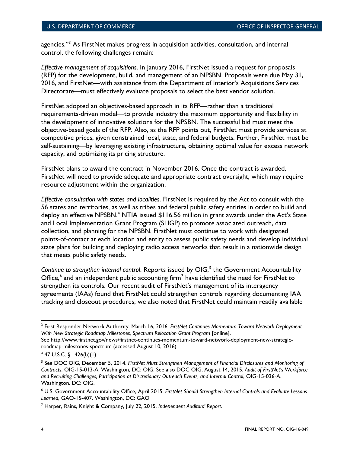agencies."<sup>3</sup> As FirstNet makes progress in acquisition activities, consultation, and internal control, the following challenges remain:

*Effective management of acquisitions*. In January 2016, FirstNet issued a request for proposals (RFP) for the development, build, and management of an NPSBN. Proposals were due May 31, 2016, and FirstNet—with assistance from the Department of Interior's Acquisitions Services Directorate—must effectively evaluate proposals to select the best vendor solution.

FirstNet adopted an objectives-based approach in its RFP—rather than a traditional requirements-driven model—to provide industry the maximum opportunity and flexibility in the development of innovative solutions for the NPSBN. The successful bid must meet the objective-based goals of the RFP. Also, as the RFP points out, FirstNet must provide services at competitive prices, given constrained local, state, and federal budgets. Further, FirstNet must be self-sustaining—by leveraging existing infrastructure, obtaining optimal value for excess network capacity, and optimizing its pricing structure.

FirstNet plans to award the contract in November 2016. Once the contract is awarded, FirstNet will need to provide adequate and appropriate contract oversight, which may require resource adjustment within the organization.

*Effective consultation with states and localities*. FirstNet is required by the Act to consult with the 56 states and territories, as well as tribes and federal public safety entities in order to build and deploy an effective NPSBN.<sup>[4](#page-11-1)</sup> NTIA issued \$116.56 million in grant awards under the Act's State and Local Implementation Grant Program (SLIGP) to promote associated outreach, data collection, and planning for the NPSBN. FirstNet must continue to work with designated points-of-contact at each location and entity to assess public safety needs and develop individual state plans for building and deploying radio access networks that result in a nationwide design that meets public safety needs.

Continue to strengthen internal control. Reports issued by OIG,<sup>[5](#page-11-2)</sup> the Government Accountability Office, $^6$  $^6$  and an independent public accounting firm<sup>[7](#page-11-4)</sup> have identified the need for FirstNet to strengthen its controls. Our recent audit of FirstNet's management of its interagency agreements (IAAs) found that FirstNet could strengthen controls regarding documenting IAA tracking and closeout procedures; we also noted that FirstNet could maintain readily available

 $\overline{\phantom{a}}$ 

<span id="page-11-0"></span><sup>3</sup> First Responder Network Authority. March 16, 2016. *FirstNet Continues Momentum Toward Network Deployment*  With New Strategic Roadmap Milestones, Spectrum Relocation Grant Program [online].

See http://www.firstnet.gov/news/firstnet-continues-momentum-toward-network-deployment-new-strategicroadmap-milestones-spectrum (accessed August 10, 2016).

<span id="page-11-1"></span> $4$  47 U.S.C. § 1426(b)(1).

<span id="page-11-2"></span><sup>5</sup> See DOC OIG, December 5, 2014. *FirstNet Must Strengthen Management of Financial Disclosures and Monitoring of Contracts*, OIG-15-013-A. Washington, DC: OIG. See also DOC OIG, August 14, 2015. *Audit of FirstNet's Workforce and Recruiting Challenges, Participation at Discretionary Outreach Events, and Internal Control*, OIG-15-036-A. Washington, DC: OIG.

<span id="page-11-3"></span><sup>6</sup> U.S. Government Accountability Office, April 2015. *FirstNet Should Strengthen Internal Controls and Evaluate Lessons Learned*, GAO-15-407. Washington, DC: GAO.

<span id="page-11-4"></span><sup>7</sup> Harper, Rains, Knight & Company, July 22, 2015. *Independent Auditors' Report*.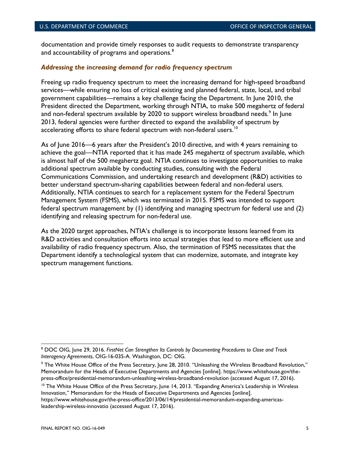documentation and provide timely responses to audit requests to demonstrate transparency and accountability of programs and operations.<sup>[8](#page-12-1)</sup>

#### <span id="page-12-0"></span>*Addressing the increasing demand for radio frequency spectrum*

Freeing up radio frequency spectrum to meet the increasing demand for high-speed broadband services—while ensuring no loss of critical existing and planned federal, state, local, and tribal government capabilities—remains a key challenge facing the Department. In June 2010, the President directed the Department, working through NTIA, to make 500 megahertz of federal and non-federal spectrum available by 2020 to support wireless broadband needs. $^{\circ}$  In June 2013, federal agencies were further directed to expand the availability of spectrum by accelerating efforts to share federal spectrum with non-federal users.<sup>[10](#page-12-3)</sup>

As of June 2016—6 years after the President's 2010 directive, and with 4 years remaining to achieve the goal—NTIA reported that it has made 245 megahertz of spectrum available, which is almost half of the 500 megahertz goal. NTIA continues to investigate opportunities to make additional spectrum available by conducting studies, consulting with the Federal Communications Commission, and undertaking research and development (R&D) activities to better understand spectrum-sharing capabilities between federal and non-federal users. Additionally, NTIA continues to search for a replacement system for the Federal Spectrum Management System (FSMS), which was terminated in 2015. FSMS was intended to support federal spectrum management by (1) identifying and managing spectrum for federal use and (2) identifying and releasing spectrum for non-federal use.

As the 2020 target approaches, NTIA's challenge is to incorporate lessons learned from its R&D activities and consultation efforts into actual strategies that lead to more efficient use and availability of radio frequency spectrum. Also, the termination of FSMS necessitates that the Department identify a technological system that can modernize, automate, and integrate key spectrum management functions.

https://www.whitehouse.gov/the-press-office/2013/06/14/presidential-memorandum-expanding-americasleadership-wireless-innovatio (accessed August 17, 2016).

<span id="page-12-1"></span><sup>8</sup> DOC OIG, June 29, 2016. *FirstNet Can Strengthen Its Controls by Documenting Procedures to Close and Track Interagency Agreements*, OIG-16-035-A. Washington, DC: OIG.

<span id="page-12-2"></span><sup>9</sup> The White House Office of the Press Secretary, June 28, 2010. "Unleashing the Wireless Broadband Revolution," Memorandum for the Heads of Executive Departments and Agencies [online]. https://www.whitehouse.gov/thepress-office/presidential-memorandum-unleashing-wireless-broadband-revolution (accessed August 17, 2016).

<span id="page-12-3"></span><sup>&</sup>lt;sup>10</sup> The White House Office of the Press Secretary, June 14, 2013. "Expanding America's Leadership in Wireless Innovation," Memorandum for the Heads of Executive Departments and Agencies [online].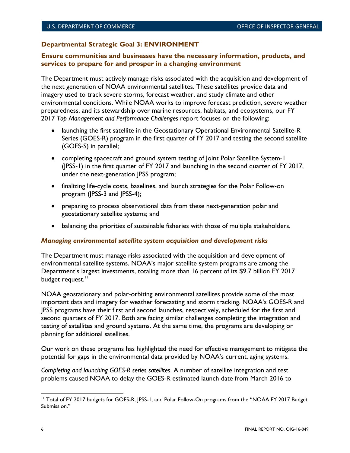# <span id="page-13-0"></span>**Departmental Strategic Goal 3: ENVIRONMENT**

### **Ensure communities and businesses have the necessary information, products, and services to prepare for and prosper in a changing environment**

The Department must actively manage risks associated with the acquisition and development of the next generation of NOAA environmental satellites. These satellites provide data and imagery used to track severe storms, forecast weather, and study climate and other environmental conditions. While NOAA works to improve forecast prediction, severe weather preparedness, and its stewardship over marine resources, habitats, and ecosystems, our FY 2017 *Top Management and Performance Challenges* report focuses on the following:

- launching the first satellite in the Geostationary Operational Environmental Satellite-R Series (GOES-R) program in the first quarter of FY 2017 and testing the second satellite (GOES-S) in parallel;
- completing spacecraft and ground system testing of Joint Polar Satellite System-1 (JPSS-1) in the first quarter of FY 2017 and launching in the second quarter of FY 2017, under the next-generation JPSS program;
- finalizing life-cycle costs, baselines, and launch strategies for the Polar Follow-on program (JPSS-3 and JPSS-4);
- preparing to process observational data from these next-generation polar and geostationary satellite systems; and
- balancing the priorities of sustainable fisheries with those of multiple stakeholders.

# <span id="page-13-1"></span>*Managing environmental satellite system acquisition and development risks*

The Department must manage risks associated with the acquisition and development of environmental satellite systems. NOAA's major satellite system programs are among the Department's largest investments, totaling more than 16 percent of its \$9.7 billion FY 2017 budget request.<sup>[11](#page-13-2)</sup>

NOAA geostationary and polar-orbiting environmental satellites provide some of the most important data and imagery for weather forecasting and storm tracking. NOAA's GOES-R and JPSS programs have their first and second launches, respectively, scheduled for the first and second quarters of FY 2017. Both are facing similar challenges completing the integration and testing of satellites and ground systems. At the same time, the programs are developing or planning for additional satellites.

Our work on these programs has highlighted the need for effective management to mitigate the potential for gaps in the environmental data provided by NOAA's current, aging systems.

*Completing and launching GOES-R series satellites*. A number of satellite integration and test problems caused NOAA to delay the GOES-R estimated launch date from March 2016 to

<span id="page-13-2"></span><sup>&</sup>lt;sup>11</sup> Total of FY 2017 budgets for GOES-R, JPSS-1, and Polar Follow-On programs from the "NOAA FY 2017 Budget Submission." l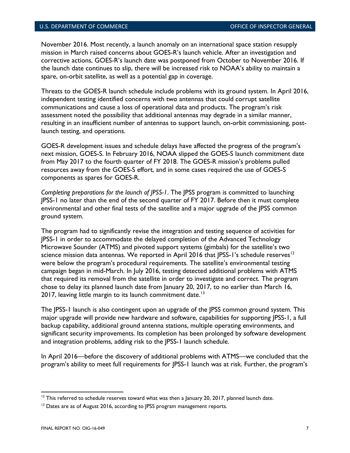November 2016. Most recently, a launch anomaly on an international space station resupply mission in March raised concerns about GOES-R's launch vehicle. After an investigation and corrective actions, GOES-R's launch date was postponed from October to November 2016. If the launch date continues to slip, there will be increased risk to NOAA's ability to maintain a spare, on-orbit satellite, as well as a potential gap in coverage.

Threats to the GOES-R launch schedule include problems with its ground system. In April 2016, independent testing identified concerns with two antennas that could corrupt satellite communications and cause a loss of operational data and products. The program's risk assessment noted the possibility that additional antennas may degrade in a similar manner, resulting in an insufficient number of antennas to support launch, on-orbit commissioning, postlaunch testing, and operations.

GOES-R development issues and schedule delays have affected the progress of the program's next mission, GOES-S. In February 2016, NOAA slipped the GOES-S launch commitment date from May 2017 to the fourth quarter of FY 2018. The GOES-R mission's problems pulled resources away from the GOES-S effort, and in some cases required the use of GOES-S components as spares for GOES-R.

*Completing preparations for the launch of JPSS-1*. The JPSS program is committed to launching JPSS-1 no later than the end of the second quarter of FY 2017. Before then it must complete environmental and other final tests of the satellite and a major upgrade of the JPSS common ground system.

The program had to significantly revise the integration and testing sequence of activities for JPSS-1 in order to accommodate the delayed completion of the Advanced Technology Microwave Sounder (ATMS) and pivoted support systems (gimbals) for the satellite's two science mission data antennas. We reported in April 2016 that JPSS-1's schedule reserves<sup>[12](#page-14-0)</sup> were below the program's procedural requirements. The satellite's environmental testing campaign began in mid-March. In July 2016, testing detected additional problems with ATMS that required its removal from the satellite in order to investigate and correct. The program chose to delay its planned launch date from January 20, 2017, to no earlier than March 16, 2017, leaving little margin to its launch commitment date.<sup>[13](#page-14-1)</sup>

The JPSS-1 launch is also contingent upon an upgrade of the JPSS common ground system. This major upgrade will provide new hardware and software, capabilities for supporting JPSS-1, a full backup capability, additional ground antenna stations, multiple operating environments, and significant security improvements. Its completion has been prolonged by software development and integration problems, adding risk to the JPSS-1 launch schedule.

In April 2016—before the discovery of additional problems with ATMS—we concluded that the program's ability to meet full requirements for JPSS-1 launch was at risk. Further, the program's

<span id="page-14-0"></span> $12$  This referred to schedule reserves toward what was then a January 20, 2017, planned launch date.

<span id="page-14-1"></span><sup>&</sup>lt;sup>13</sup> Dates are as of August 2016, according to JPSS program management reports.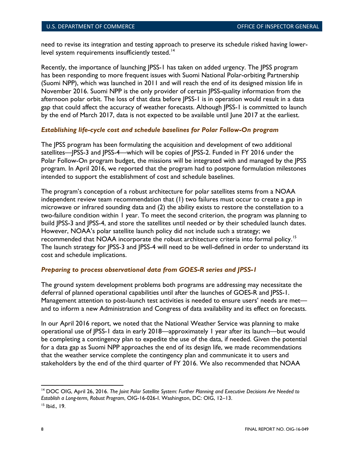need to revise its integration and testing approach to preserve its schedule risked having lower-level system requirements insufficiently tested.<sup>[14](#page-15-2)</sup>

Recently, the importance of launching JPSS-1 has taken on added urgency. The JPSS program has been responding to more frequent issues with Suomi National Polar-orbiting Partnership (Suomi NPP), which was launched in 2011 and will reach the end of its designed mission life in November 2016. Suomi NPP is the only provider of certain JPSS-quality information from the afternoon polar orbit. The loss of that data before JPSS-1 is in operation would result in a data gap that could affect the accuracy of weather forecasts. Although JPSS-1 is committed to launch by the end of March 2017, data is not expected to be available until June 2017 at the earliest.

# <span id="page-15-0"></span>*Establishing life-cycle cost and schedule baselines for Polar Follow-On program*

The JPSS program has been formulating the acquisition and development of two additional satellites—JPSS-3 and JPSS-4—which will be copies of JPSS-2. Funded in FY 2016 under the Polar Follow-On program budget, the missions will be integrated with and managed by the JPSS program. In April 2016, we reported that the program had to postpone formulation milestones intended to support the establishment of cost and schedule baselines.

The program's conception of a robust architecture for polar satellites stems from a NOAA independent review team recommendation that (1) two failures must occur to create a gap in microwave or infrared sounding data and (2) the ability exists to restore the constellation to a two-failure condition within 1 year. To meet the second criterion, the program was planning to build JPSS-3 and JPSS-4, and store the satellites until needed or by their scheduled launch dates. However, NOAA's polar satellite launch policy did not include such a strategy; we recommended that NOAA incorporate the robust architecture criteria into formal policy.<sup>[15](#page-15-3)</sup> The launch strategy for JPSS-3 and JPSS-4 will need to be well-defined in order to understand its cost and schedule implications.

# <span id="page-15-1"></span>*Preparing to process observational data from GOES-R series and JPSS-1*

The ground system development problems both programs are addressing may necessitate the deferral of planned operational capabilities until after the launches of GOES-R and JPSS-1. Management attention to post-launch test activities is needed to ensure users' needs are met and to inform a new Administration and Congress of data availability and its effect on forecasts.

In our April 2016 report, we noted that the National Weather Service was planning to make operational use of JPSS-1 data in early 2018—approximately 1 year after its launch—but would be completing a contingency plan to expedite the use of the data, if needed. Given the potential for a data gap as Suomi NPP approaches the end of its design life, we made recommendations that the weather service complete the contingency plan and communicate it to users and stakeholders by the end of the third quarter of FY 2016. We also recommended that NOAA

 $\overline{\phantom{a}}$ 

<span id="page-15-2"></span><sup>14</sup> DOC OIG, April 26, 2016. *The Joint Polar Satellite System: Further Planning and Executive Decisions Are Needed to Establish a Long-term, Robust Program*, OIG-16-026-I. Washington, DC: OIG, 12–13.

<span id="page-15-3"></span><sup>15</sup> Ibid., 19.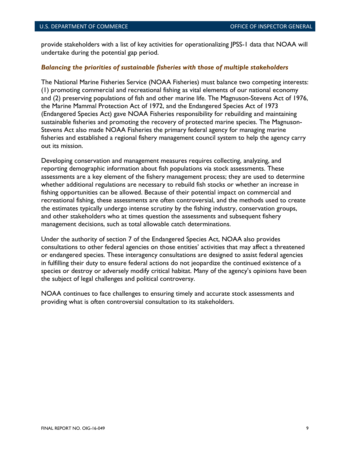provide stakeholders with a list of key activities for operationalizing JPSS-1 data that NOAA will undertake during the potential gap period.

#### <span id="page-16-0"></span>*Balancing the priorities of sustainable fisheries with those of multiple stakeholders*

The National Marine Fisheries Service (NOAA Fisheries) must balance two competing interests: (1) promoting commercial and recreational fishing as vital elements of our national economy and (2) preserving populations of fish and other marine life. The Magnuson-Stevens Act of 1976, the Marine Mammal Protection Act of 1972, and the Endangered Species Act of 1973 (Endangered Species Act) gave NOAA Fisheries responsibility for rebuilding and maintaining sustainable fisheries and promoting the recovery of protected marine species. The Magnuson-Stevens Act also made NOAA Fisheries the primary federal agency for managing marine fisheries and established a regional fishery management council system to help the agency carry out its mission.

Developing conservation and management measures requires collecting, analyzing, and reporting demographic information about fish populations via stock assessments. These assessments are a key element of the fishery management process; they are used to determine whether additional regulations are necessary to rebuild fish stocks or whether an increase in fishing opportunities can be allowed. Because of their potential impact on commercial and recreational fishing, these assessments are often controversial, and the methods used to create the estimates typically undergo intense scrutiny by the fishing industry, conservation groups, and other stakeholders who at times question the assessments and subsequent fishery management decisions, such as total allowable catch determinations.

Under the authority of section 7 of the Endangered Species Act, NOAA also provides consultations to other federal agencies on those entities' activities that may affect a threatened or endangered species. These interagency consultations are designed to assist federal agencies in fulfilling their duty to ensure federal actions do not jeopardize the continued existence of a species or destroy or adversely modify critical habitat. Many of the agency's opinions have been the subject of legal challenges and political controversy.

NOAA continues to face challenges to ensuring timely and accurate stock assessments and providing what is often controversial consultation to its stakeholders.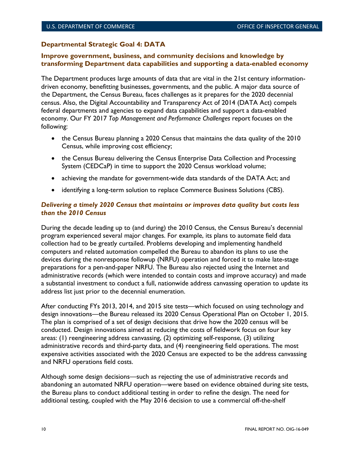# <span id="page-17-0"></span>**Departmental Strategic Goal 4: DATA**

### **Improve government, business, and community decisions and knowledge by transforming Department data capabilities and supporting a data-enabled economy**

The Department produces large amounts of data that are vital in the 21st century informationdriven economy, benefitting businesses, governments, and the public. A major data source of the Department, the Census Bureau, faces challenges as it prepares for the 2020 decennial census. Also, the Digital Accountability and Transparency Act of 2014 (DATA Act) compels federal departments and agencies to expand data capabilities and support a data-enabled economy. Our FY 2017 *Top Management and Performance Challenges* report focuses on the following:

- the Census Bureau planning a 2020 Census that maintains the data quality of the 2010 Census, while improving cost efficiency;
- the Census Bureau delivering the Census Enterprise Data Collection and Processing System (CEDCaP) in time to support the 2020 Census workload volume;
- achieving the mandate for government-wide data standards of the DATA Act; and
- identifying a long-term solution to replace Commerce Business Solutions (CBS).

## <span id="page-17-1"></span>*Delivering a timely 2020 Census that maintains or improves data quality but costs less than the 2010 Census*

During the decade leading up to (and during) the 2010 Census, the Census Bureau's decennial program experienced several major changes. For example, its plans to automate field data collection had to be greatly curtailed. Problems developing and implementing handheld computers and related automation compelled the Bureau to abandon its plans to use the devices during the nonresponse followup (NRFU) operation and forced it to make late-stage preparations for a pen-and-paper NRFU. The Bureau also rejected using the Internet and administrative records (which were intended to contain costs and improve accuracy) and made a substantial investment to conduct a full, nationwide address canvassing operation to update its address list just prior to the decennial enumeration.

After conducting FYs 2013, 2014, and 2015 site tests—which focused on using technology and design innovations—the Bureau released its 2020 Census Operational Plan on October 1, 2015. The plan is comprised of a set of design decisions that drive how the 2020 census will be conducted. Design innovations aimed at reducing the costs of fieldwork focus on four key areas: (1) reengineering address canvassing, (2) optimizing self-response, (3) utilizing administrative records and third-party data, and (4) reengineering field operations. The most expensive activities associated with the 2020 Census are expected to be the address canvassing and NRFU operations field costs.

Although some design decisions—such as rejecting the use of administrative records and abandoning an automated NRFU operation—were based on evidence obtained during site tests, the Bureau plans to conduct additional testing in order to refine the design. The need for additional testing, coupled with the May 2016 decision to use a commercial off-the-shelf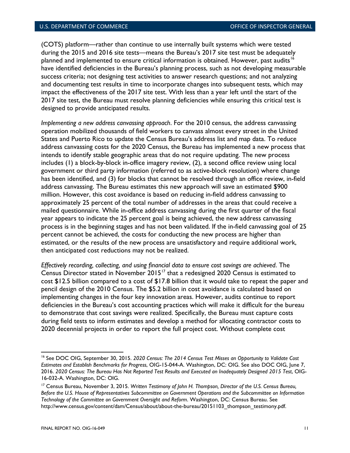(COTS) platform—rather than continue to use internally built systems which were tested during the 2015 and 2016 site tests—means the Bureau's 2017 site test must be adequately planned and implemented to ensure critical information is obtained. However, past audits<sup>[16](#page-18-0)</sup> have identified deficiencies in the Bureau's planning process, such as not developing measurable success criteria; not designing test activities to answer research questions; and not analyzing and documenting test results in time to incorporate changes into subsequent tests, which may impact the effectiveness of the 2017 site test. With less than a year left until the start of the 2017 site test, the Bureau must resolve planning deficiencies while ensuring this critical test is designed to provide anticipated results.

*Implementing a new address canvassing approach*. For the 2010 census, the address canvassing operation mobilized thousands of field workers to canvass almost every street in the United States and Puerto Rico to update the Census Bureau's address list and map data. To reduce address canvassing costs for the 2020 Census, the Bureau has implemented a new process that intends to identify stable geographic areas that do not require updating. The new process includes (1) a block-by-block in-office imagery review, (2), a second office review using local government or third party information (referred to as active-block resolution) where change has been identified, and (3) for blocks that cannot be resolved through an office review, in-field address canvassing. The Bureau estimates this new approach will save an estimated \$900 million. However, this cost avoidance is based on reducing in-field address canvassing to approximately 25 percent of the total number of addresses in the areas that could receive a mailed questionnaire. While in-office address canvassing during the first quarter of the fiscal year appears to indicate the 25 percent goal is being achieved, the new address canvassing process is in the beginning stages and has not been validated. If the in-field canvassing goal of 25 percent cannot be achieved, the costs for conducting the new process are higher than estimated, or the results of the new process are unsatisfactory and require additional work, then anticipated cost reductions may not be realized.

*Effectively recording, collecting, and using financial data to ensure cost savings are achieved*. The Census Director stated in November  $2015^{17}$  $2015^{17}$  $2015^{17}$  that a redesigned 2020 Census is estimated to cost \$12.5 billion compared to a cost of \$17.8 billion that it would take to repeat the paper and pencil design of the 2010 Census. The \$5.2 billion in cost avoidance is calculated based on implementing changes in the four key innovation areas. However, audits continue to report deficiencies in the Bureau's cost accounting practices which will make it difficult for the bureau to demonstrate that cost savings were realized. Specifically, the Bureau must capture costs during field tests to inform estimates and develop a method for allocating contractor costs to 2020 decennial projects in order to report the full project cost. Without complete cost

<span id="page-18-0"></span><sup>16</sup> See DOC OIG, September 30, 2015. *2020 Census: The 2014 Census Test Misses an Opportunity to Validate Cost Estimates and Establish Benchmarks for Progress*, OIG-15-044-A. Washington, DC: OIG. See also DOC OIG, June 7, 2016. *2020 Census: The Bureau Has Not Reported Test Results and Executed an Inadequately Designed 2015 Test*, OIG-16-032-A. Washington, DC: OIG.

<span id="page-18-1"></span><sup>17</sup> Census Bureau, November 3, 2015. *Written Testimony of John H. Thompson, Director of the U.S. Census Bureau, Before the U.S. House of Representatives Subcommittee on Government Operations and the Subcommittee on Information Technology of the Committee on Government Oversight and Reform*. Washington, DC: Census Bureau. See http://www.census.gov/content/dam/Census/about/about-the-bureau/20151103\_thompson\_testimony.pdf.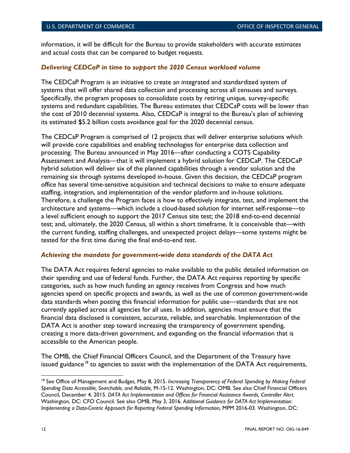information, it will be difficult for the Bureau to provide stakeholders with accurate estimates and actual costs that can be compared to budget requests.

#### <span id="page-19-0"></span>*Delivering CEDCaP in time to support the 2020 Census workload volume*

The CEDCaP Program is an initiative to create an integrated and standardized system of systems that will offer shared data collection and processing across all censuses and surveys. Specifically, the program proposes to consolidate costs by retiring unique, survey-specific systems and redundant capabilities. The Bureau estimates that CEDCaP costs will be lower than the cost of 2010 decennial systems. Also, CEDCaP is integral to the Bureau's plan of achieving its estimated \$5.2 billion costs avoidance goal for the 2020 decennial census.

The CEDCaP Program is comprised of 12 projects that will deliver enterprise solutions which will provide core capabilities and enabling technologies for enterprise data collection and processing. The Bureau announced in May 2016—after conducting a COTS Capability Assessment and Analysis—that it will implement a hybrid solution for CEDCaP. The CEDCaP hybrid solution will deliver six of the planned capabilities through a vendor solution and the remaining six through systems developed in-house. Given this decision, the CEDCaP program office has several time-sensitive acquisition and technical decisions to make to ensure adequate staffing, integration, and implementation of the vendor platform and in-house solutions. Therefore, a challenge the Program faces is how to effectively integrate, test, and implement the architecture and systems—which include a cloud-based solution for internet self-response—to a level sufficient enough to support the 2017 Census site test; the 2018 end-to-end decennial test; and, ultimately, the 2020 Census, all within a short timeframe. It is conceivable that—with the current funding, staffing challenges, and unexpected project delays—some systems might be tested for the first time during the final end-to-end test.

#### <span id="page-19-1"></span>*Achieving the mandate for government-wide data standards of the DATA Act*

The DATA Act requires federal agencies to make available to the public detailed information on their spending and use of federal funds. Further, the DATA Act requires reporting by specific categories, such as how much funding an agency receives from Congress and how much agencies spend on specific projects and awards, as well as the use of common government-wide data standards when posting this financial information for public use—standards that are not currently applied across all agencies for all uses. In addition, agencies must ensure that the financial data disclosed is consistent, accurate, reliable, and searchable. Implementation of the DATA Act is another step toward increasing the transparency of government spending, creating a more data-driven government, and expanding on the financial information that is accessible to the American people.

The OMB, the Chief Financial Officers Council, and the Department of the Treasury have issued guidance<sup>[18](#page-19-2)</sup> to agencies to assist with the implementation of the DATA Act requirements,

<span id="page-19-2"></span><sup>&</sup>lt;sup>18</sup> See Office of Management and Budget, May 8, 2015. Increasing Transparency of Federal Spending by Making Federal *Spending Data Accessible, Searchable, and Reliable,* M-15-12. Washington, DC: OMB. See also Chief Financial Officers Council, December 4, 2015. *DATA Act Implementation and Offices for Financial Assistance Awards, Controller Alert.*  Washington, DC: CFO Council*.* See also OMB, May 3, 2016. *Additional Guidance for DATA Act Implementation: Implementing a Data-Centric Approach for Reporting Federal Spending Information, MPM 2016-03. Washington, DC:*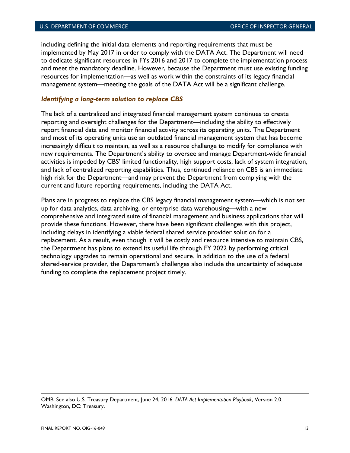including defining the initial data elements and reporting requirements that must be implemented by May 2017 in order to comply with the DATA Act. The Department will need to dedicate significant resources in FYs 2016 and 2017 to complete the implementation process and meet the mandatory deadline. However, because the Department must use existing funding resources for implementation—as well as work within the constraints of its legacy financial management system—meeting the goals of the DATA Act will be a significant challenge.

#### <span id="page-20-0"></span>*Identifying a long-term solution to replace CBS*

The lack of a centralized and integrated financial management system continues to create reporting and oversight challenges for the Department—including the ability to effectively report financial data and monitor financial activity across its operating units. The Department and most of its operating units use an outdated financial management system that has become increasingly difficult to maintain, as well as a resource challenge to modify for compliance with new requirements. The Department's ability to oversee and manage Department-wide financial activities is impeded by CBS' limited functionality, high support costs, lack of system integration, and lack of centralized reporting capabilities. Thus, continued reliance on CBS is an immediate high risk for the Department—and may prevent the Department from complying with the current and future reporting requirements, including the DATA Act.

Plans are in progress to replace the CBS legacy financial management system—which is not set up for data analytics, data archiving, or enterprise data warehousing—with a new comprehensive and integrated suite of financial management and business applications that will provide these functions. However, there have been significant challenges with this project, including delays in identifying a viable federal shared service provider solution for a replacement. As a result, even though it will be costly and resource intensive to maintain CBS, the Department has plans to extend its useful life through FY 2022 by performing critical technology upgrades to remain operational and secure. In addition to the use of a federal shared-service provider, the Department's challenges also include the uncertainty of adequate funding to complete the replacement project timely.

OMB. See also U.S. Treasury Department, June 24, 2016. *DATA Act Implementation Playbook*, Version 2.0. Washington, DC: Treasury.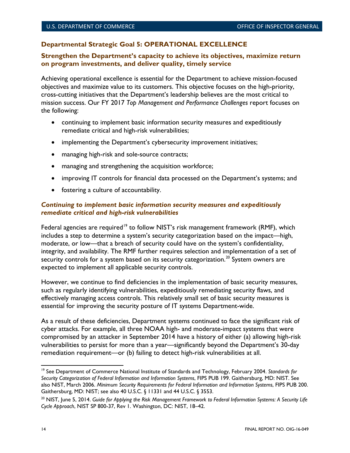# <span id="page-21-0"></span>**Departmental Strategic Goal 5: OPERATIONAL EXCELLENCE**

### **Strengthen the Department's capacity to achieve its objectives, maximize return on program investments, and deliver quality, timely service**

Achieving operational excellence is essential for the Department to achieve mission-focused objectives and maximize value to its customers. This objective focuses on the high-priority, cross-cutting initiatives that the Department's leadership believes are the most critical to mission success. Our FY 2017 *Top Management and Performance Challenges* report focuses on the following:

- continuing to implement basic information security measures and expeditiously remediate critical and high-risk vulnerabilities;
- implementing the Department's cybersecurity improvement initiatives;
- managing high-risk and sole-source contracts;
- managing and strengthening the acquisition workforce;
- improving IT controls for financial data processed on the Department's systems; and
- fostering a culture of accountability.

### <span id="page-21-1"></span>*Continuing to implement basic information security measures and expeditiously remediate critical and high-risk vulnerabilities*

Federal agencies are required<sup>[19](#page-21-2)</sup> to follow NIST's risk management framework (RMF), which includes a step to determine a system's security categorization based on the impact—high, moderate, or low—that a breach of security could have on the system's confidentiality, integrity, and availability. The RMF further requires selection and implementation of a set of security controls for a system based on its security categorization. $^{20}$  $^{20}$  $^{20}$  System owners are expected to implement all applicable security controls.

However, we continue to find deficiencies in the implementation of basic security measures, such as regularly identifying vulnerabilities, expeditiously remediating security flaws, and effectively managing access controls. This relatively small set of basic security measures is essential for improving the security posture of IT systems Department-wide.

As a result of these deficiencies, Department systems continued to face the significant risk of cyber attacks. For example, all three NOAA high- and moderate-impact systems that were compromised by an attacker in September 2014 have a history of either (a) allowing high-risk vulnerabilities to persist for more than a year—significantly beyond the Department's 30-day remediation requirement—or (b) failing to detect high-risk vulnerabilities at all.

<span id="page-21-2"></span><sup>19</sup> See Department of Commerce National Institute of Standards and Technology, February 2004. *Standards for Security Categorization of Federal Information and Information Systems*, FIPS PUB 199. Gaithersburg, MD: NIST. See also NIST, March 2006. *Minimum Security Requirements for Federal Information and Information Systems*, FIPS PUB 200. Gaithersburg, MD: NIST; see also 40 U.S.C. § 11331 and 44 U.S.C. § 3553. l

<span id="page-21-3"></span><sup>20</sup> NIST, June 5, 2014. *Guide for Applying the Risk Management Framework to Federal Information Systems: A Security Life Cycle Approach*, NIST SP 800-37, Rev 1. Washington, DC: NIST, 18–42.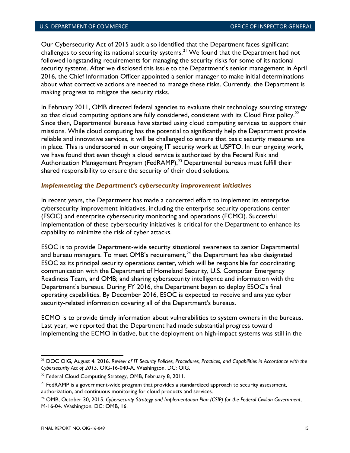Our Cybersecurity Act of 2015 audit also identified that the Department faces significant challenges to securing its national security systems. $^{21}$  $^{21}$  $^{21}$  We found that the Department had not followed longstanding requirements for managing the security risks for some of its national security systems. After we disclosed this issue to the Department's senior management in April 2016, the Chief Information Officer appointed a senior manager to make initial determinations about what corrective actions are needed to manage these risks. Currently, the Department is making progress to mitigate the security risks.

In February 2011, OMB directed federal agencies to evaluate their technology sourcing strategy so that cloud computing options are fully considered, consistent with its Cloud First policy.<sup>[22](#page-22-2)</sup> Since then, Departmental bureaus have started using cloud computing services to support their missions. While cloud computing has the potential to significantly help the Department provide reliable and innovative services, it will be challenged to ensure that basic security measures are in place. This is underscored in our ongoing IT security work at USPTO. In our ongoing work, we have found that even though a cloud service is authorized by the Federal Risk and Authorization Management Program (FedRAMP), $^{23}$  $^{23}$  $^{23}$  Departmental bureaus must fulfill their shared responsibility to ensure the security of their cloud solutions.

#### <span id="page-22-0"></span>*Implementing the Department's cybersecurity improvement initiatives*

In recent years, the Department has made a concerted effort to implement its enterprise cybersecurity improvement initiatives, including the enterprise security operations center (ESOC) and enterprise cybersecurity monitoring and operations (ECMO). Successful implementation of these cybersecurity initiatives is critical for the Department to enhance its capability to minimize the risk of cyber attacks.

ESOC is to provide Department-wide security situational awareness to senior Departmental and bureau managers. To meet OMB's requirement, $^{24}$  $^{24}$  $^{24}$  the Department has also designated ESOC as its principal security operations center, which will be responsible for coordinating communication with the Department of Homeland Security, U.S. Computer Emergency Readiness Team, and OMB; and sharing cybersecurity intelligence and information with the Department's bureaus. During FY 2016, the Department began to deploy ESOC's final operating capabilities. By December 2016, ESOC is expected to receive and analyze cyber security-related information covering all of the Department's bureaus.

ECMO is to provide timely information about vulnerabilities to system owners in the bureaus. Last year, we reported that the Department had made substantial progress toward implementing the ECMO initiative, but the deployment on high-impact systems was still in the

 $\overline{\phantom{a}}$ 

<span id="page-22-1"></span><sup>21</sup> DOC OIG, August 4, 2016. *Review of IT Security Policies, Procedures, Practices, and Capabilities in Accordance with the Cybersecurity Act of 2015*, OIG-16-040-A. Washington, DC: OIG.

<span id="page-22-2"></span><sup>&</sup>lt;sup>22</sup> Federal Cloud Computing Strategy, OMB, February 8, 2011.

<span id="page-22-3"></span> $23$  FedRAMP is a government-wide program that provides a standardized approach to security assessment, authorization, and continuous monitoring for cloud products and services.

<span id="page-22-4"></span><sup>24</sup> OMB, October 30, 2015. *Cybersecurity Strategy and Implementation Plan (CSIP) for the Federal Civilian Government*, M-16-04. Washington, DC: OMB, 16.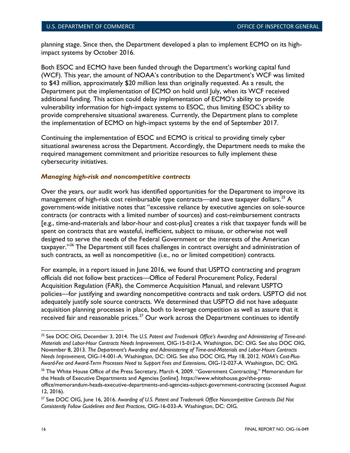planning stage. Since then, the Department developed a plan to implement ECMO on its highimpact systems by October 2016.

Both ESOC and ECMO have been funded through the Department's working capital fund (WCF). This year, the amount of NOAA's contribution to the Department's WCF was limited to \$43 million, approximately \$20 million less than originally requested. As a result, the Department put the implementation of ECMO on hold until July, when its WCF received additional funding. This action could delay implementation of ECMO's ability to provide vulnerability information for high-impact systems to ESOC, thus limiting ESOC's ability to provide comprehensive situational awareness. Currently, the Department plans to complete the implementation of ECMO on high-impact systems by the end of September 2017.

Continuing the implementation of ESOC and ECMO is critical to providing timely cyber situational awareness across the Department. Accordingly, the Department needs to make the required management commitment and prioritize resources to fully implement these cybersecurity initiatives.

#### <span id="page-23-0"></span>*Managing high-risk and noncompetitive contracts*

Over the years, our audit work has identified opportunities for the Department to improve its management of high-risk cost reimbursable type contracts—and save taxpayer dollars. $^\mathrm{25}$  $^\mathrm{25}$  $^\mathrm{25}$  A government-wide initiative notes that "excessive reliance by executive agencies on sole-source contracts (or contracts with a limited number of sources) and cost-reimbursement contracts [e.g., time-and-materials and labor-hour and cost-plus] creates a risk that taxpayer funds will be spent on contracts that are wasteful, inefficient, subject to misuse, or otherwise not well designed to serve the needs of the Federal Government or the interests of the American taxpayer."<sup>[26](#page-23-2)</sup> The Department still faces challenges in contract oversight and administration of such contracts, as well as noncompetitive (i.e., no or limited competition) contracts.

For example, in a report issued in June 2016, we found that USPTO contracting and program officials did not follow best practices—Office of Federal Procurement Policy, Federal Acquisition Regulation (FAR), the Commerce Acquisition Manual, and relevant USPTO policies—for justifying and awarding noncompetitive contracts and task orders. USPTO did not adequately justify sole source contracts. We determined that USPTO did not have adequate acquisition planning processes in place, both to leverage competition as well as assure that it received fair and reasonable prices. $^{27}$  $^{27}$  $^{27}$  Our work across the Department continues to identify

 $\overline{\phantom{a}}$ 

<span id="page-23-1"></span><sup>25</sup> See DOC OIG, December 3, 2014. *The U.S. Patent and Trademark Office's Awarding and Administering of Time-and-Materials and Labor-Hour Contracts Needs Improvement*, OIG-15-012-A. Washington, DC: OIG. See also DOC OIG, November 8, 2013. *The Department's Awarding and Administering of Time-and-Materials and Labor-Hours Contracts Needs Improvement*, OIG-14-001-A. Washington, DC: OIG. See also DOC OIG, May 18, 2012. *NOAA's Cost-Plus-Award-Fee and Award-Term Processes Need to Support Fees and Extensions*, OIG-12-027-A. Washington, DC: OIG.

<span id="page-23-2"></span><sup>&</sup>lt;sup>26</sup> The White House Office of the Press Secretary, March 4, 2009. "Government Contracting," Memorandum for the Heads of Executive Departments and Agencies [online]. https://www.whitehouse.gov/the-pressoffice/memorandum-heads-executive-departments-and-agencies-subject-government-contracting (accessed August 12, 2016).

<span id="page-23-3"></span><sup>27</sup> See DOC OIG, June 16, 2016. *Awarding of U.S. Patent and Trademark Office Noncompetitive Contracts Did Not Consistently Follow Guidelines and Best Practices*, OIG-16-033-A. Washington, DC: OIG.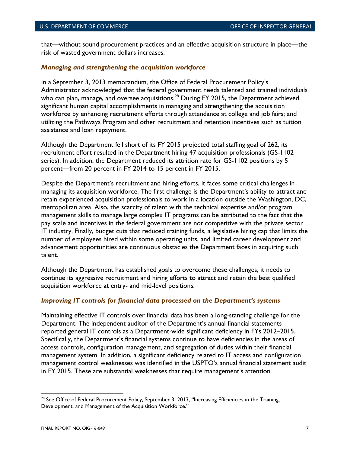that—without sound procurement practices and an effective acquisition structure in place—the risk of wasted government dollars increases.

#### <span id="page-24-0"></span>*Managing and strengthening the acquisition workforce*

In a September 3, 2013 memorandum, the Office of Federal Procurement Policy's Administrator acknowledged that the federal government needs talented and trained individuals who can plan, manage, and oversee acquisitions. $^{28}$  $^{28}$  $^{28}$  During FY 2015, the Department achieved significant human capital accomplishments in managing and strengthening the acquisition workforce by enhancing recruitment efforts through attendance at college and job fairs; and utilizing the Pathways Program and other recruitment and retention incentives such as tuition assistance and loan repayment.

Although the Department fell short of its FY 2015 projected total staffing goal of 262, its recruitment effort resulted in the Department hiring 47 acquisition professionals (GS-1102 series). In addition, the Department reduced its attrition rate for GS-1102 positions by 5 percent—from 20 percent in FY 2014 to 15 percent in FY 2015.

Despite the Department's recruitment and hiring efforts, it faces some critical challenges in managing its acquisition workforce. The first challenge is the Department's ability to attract and retain experienced acquisition professionals to work in a location outside the Washington, DC, metropolitan area. Also, the scarcity of talent with the technical expertise and/or program management skills to manage large complex IT programs can be attributed to the fact that the pay scale and incentives in the federal government are not competitive with the private sector IT industry. Finally, budget cuts that reduced training funds, a legislative hiring cap that limits the number of employees hired within some operating units, and limited career development and advancement opportunities are continuous obstacles the Department faces in acquiring such talent.

Although the Department has established goals to overcome these challenges, it needs to continue its aggressive recruitment and hiring efforts to attract and retain the best qualified acquisition workforce at entry- and mid-level positions.

#### <span id="page-24-1"></span>*Improving IT controls for financial data processed on the Department's systems*

Maintaining effective IT controls over financial data has been a long-standing challenge for the Department. The independent auditor of the Department's annual financial statements reported general IT controls as a Department-wide significant deficiency in FYs 2012–2015. Specifically, the Department's financial systems continue to have deficiencies in the areas of access controls, configuration management, and segregation of duties within their financial management system. In addition, a significant deficiency related to IT access and configuration management control weaknesses was identified in the USPTO's annual financial statement audit in FY 2015. These are substantial weaknesses that require management's attention.

<span id="page-24-2"></span><sup>&</sup>lt;sup>28</sup> See Office of Federal Procurement Policy, September 3, 2013, "Increasing Efficiencies in the Training, Development, and Management of the Acquisition Workforce."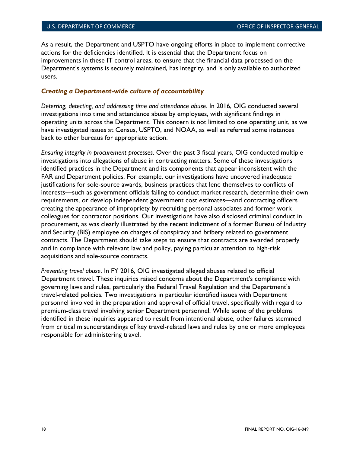As a result, the Department and USPTO have ongoing efforts in place to implement corrective actions for the deficiencies identified. It is essential that the Department focus on improvements in these IT control areas, to ensure that the financial data processed on the Department's systems is securely maintained, has integrity, and is only available to authorized users.

#### <span id="page-25-0"></span>*Creating a Department-wide culture of accountability*

*Deterring, detecting, and addressing time and attendance abuse*. In 2016, OIG conducted several investigations into time and attendance abuse by employees, with significant findings in operating units across the Department. This concern is not limited to one operating unit, as we have investigated issues at Census, USPTO, and NOAA, as well as referred some instances back to other bureaus for appropriate action.

*Ensuring integrity in procurement processes*. Over the past 3 fiscal years, OIG conducted multiple investigations into allegations of abuse in contracting matters. Some of these investigations identified practices in the Department and its components that appear inconsistent with the FAR and Department policies. For example, our investigations have uncovered inadequate justifications for sole-source awards, business practices that lend themselves to conflicts of interests—such as government officials failing to conduct market research, determine their own requirements, or develop independent government cost estimates—and contracting officers creating the appearance of impropriety by recruiting personal associates and former work colleagues for contractor positions. Our investigations have also disclosed criminal conduct in procurement, as was clearly illustrated by the recent indictment of a former Bureau of Industry and Security (BIS) employee on charges of conspiracy and bribery related to government contracts. The Department should take steps to ensure that contracts are awarded properly and in compliance with relevant law and policy, paying particular attention to high-risk acquisitions and sole-source contracts.

*Preventing travel abuse*. In FY 2016, OIG investigated alleged abuses related to official Department travel. These inquiries raised concerns about the Department's compliance with governing laws and rules, particularly the Federal Travel Regulation and the Department's travel-related policies. Two investigations in particular identified issues with Department personnel involved in the preparation and approval of official travel, specifically with regard to premium-class travel involving senior Department personnel. While some of the problems identified in these inquiries appeared to result from intentional abuse, other failures stemmed from critical misunderstandings of key travel-related laws and rules by one or more employees responsible for administering travel.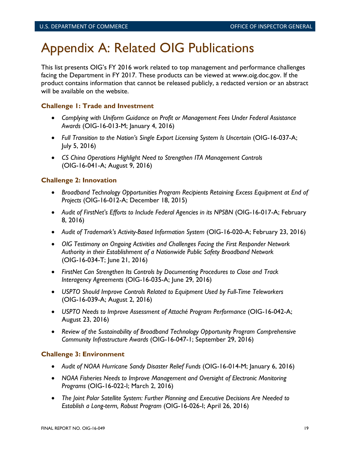# <span id="page-26-0"></span>Appendix A: Related OIG Publications

This list presents OIG's FY 2016 work related to top management and performance challenges facing the Department in FY 2017. These products can be viewed at www.oig.doc.gov. If the product contains information that cannot be released publicly, a redacted version or an abstract will be available on the website.

## **Challenge 1: Trade and Investment**

- *Complying with Uniform Guidance on Profit or Management Fees Under Federal Assistance Awards* (OIG-16-013-M; January 4, 2016)
- *Full Transition to the Nation's Single Export Licensing System Is Uncertain* (OIG-16-037-A; July 5, 2016)
- *CS China Operations Highlight Need to Strengthen ITA Management Controls* (OIG-16-041-A; August 9, 2016)

### **Challenge 2: Innovation**

- *Broadband Technology Opportunities Program Recipients Retaining Excess Equipment at End of Projects* (OIG-16-012-A; December 18, 2015)
- *Audit of FirstNet's Efforts to Include Federal Agencies in its NPSBN* (OIG-16-017-A; February 8, 2016)
- *Audit of Trademark's Activity-Based Information System* (OIG-16-020-A; February 23, 2016)
- *OIG Testimony on Ongoing Activities and Challenges Facing the First Responder Network Authority in their Establishment of a Nationwide Public Safety Broadband Network* (OIG-16-034-T; June 21, 2016)
- *FirstNet Can Strengthen Its Controls by Documenting Procedures to Close and Track Interagency Agreements* (OIG-16-035-A; June 29, 2016)
- *USPTO Should Improve Controls Related to Equipment Used by Full-Time Teleworkers* (OIG-16-039-A; August 2, 2016)
- *USPTO Needs to Improve Assessment of Attaché Program Performance* (OIG-16-042-A; August 23, 2016)
- *Review of the Sustainability of Broadband Technology Opportunity Program Comprehensive Community Infrastructure Awards* (OIG-16-047-1; September 29, 2016)

#### **Challenge 3: Environment**

- *Audit of NOAA Hurricane Sandy Disaster Relief Funds* (OIG-16-014-M; January 6, 2016)
- *NOAA Fisheries Needs to Improve Management and Oversight of Electronic Monitoring Programs* (OIG-16-022-I; March 2, 2016)
- *The Joint Polar Satellite System: Further Planning and Executive Decisions Are Needed to Establish a Long-term, Robust Program* (OIG-16-026-I; April 26, 2016)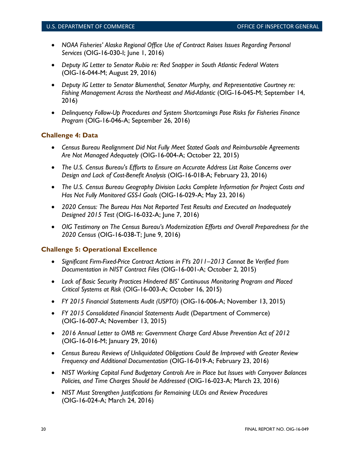- *NOAA Fisheries' Alaska Regional Office Use of Contract Raises Issues Regarding Personal Services* (OIG-16-030-I; June 1, 2016)
- *Deputy IG Letter to Senator Rubio re: Red Snapper in South Atlantic Federal Waters* (OIG-16-044-M; August 29, 2016)
- *Deputy IG Letter to Senator Blumenthal, Senator Murphy, and Representative Courtney re: Fishing Management Across the Northeast and Mid-Atlantic* (OIG-16-045-M; September 14, 2016)
- *Delinquency Follow-Up Procedures and System Shortcomings Pose Risks for Fisheries Finance Program* (OIG-16-046-A; September 26, 2016)

# **Challenge 4: Data**

- *Census Bureau Realignment Did Not Fully Meet Stated Goals and Reimbursable Agreements Are Not Managed Adequately* (OIG-16-004-A; October 22, 2015)
- *The U.S. Census Bureau's Efforts to Ensure an Accurate Address List Raise Concerns over Design and Lack of Cost-Benefit Analysis* (OIG-16-018-A; February 23, 2016)
- *The U.S. Census Bureau Geography Division Lacks Complete Information for Project Costs and Has Not Fully Monitored GSS-I Goals* (OIG-16-029-A; May 23, 2016)
- *2020 Census: The Bureau Has Not Reported Test Results and Executed an Inadequately Designed 2015 Test* (OIG-16-032-A; June 7, 2016)
- *OIG Testimony on The Census Bureau's Modernization Efforts and Overall Preparedness for the 2020 Census* (OIG-16-038-T; June 9, 2016)

# **Challenge 5: Operational Excellence**

- *Significant Firm-Fixed-Price Contract Actions in FYs 2011–2013 Cannot Be Verified from Documentation in NIST Contract Files* (OIG-16-001-A; October 2, 2015)
- *Lack of Basic Security Practices Hindered BIS' Continuous Monitoring Program and Placed Critical Systems at Risk* (OIG-16-003-A; October 16, 2015)
- *FY 2015 Financial Statements Audit (USPTO)* (OIG-16-006-A; November 13, 2015)
- *FY 2015 Consolidated Financial Statements Audit* (Department of Commerce) (OIG-16-007-A; November 13, 2015)
- *2016 Annual Letter to OMB re: Government Charge Card Abuse Prevention Act of 2012* (OIG-16-016-M; January 29, 2016)
- *Census Bureau Reviews of Unliquidated Obligations Could Be Improved with Greater Review Frequency and Additional Documentation* (OIG-16-019-A; February 23, 2016)
- *NIST Working Capital Fund Budgetary Controls Are in Place but Issues with Carryover Balances Policies, and Time Charges Should be Addressed* (OIG-16-023-A; March 23, 2016)
- *NIST Must Strengthen Justifications for Remaining ULOs and Review Procedures* (OIG-16-024-A; March 24, 2016)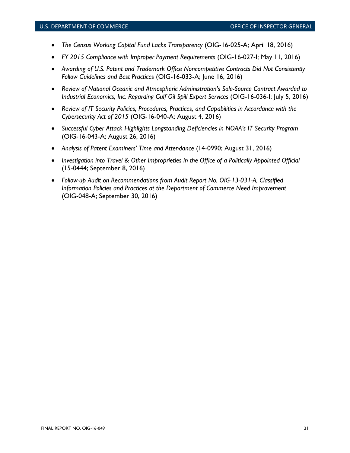- *The Census Working Capital Fund Lacks Transparency* (OIG-16-025-A; April 18, 2016)
- *FY 2015 Compliance with Improper Payment Requirements* (OIG-16-027-I; May 11, 2016)
- *Awarding of U.S. Patent and Trademark Office Noncompetitive Contracts Did Not Consistently Follow Guidelines and Best Practices* (OIG-16-033-A; June 16, 2016)
- *Review of National Oceanic and Atmospheric Administration's Sole-Source Contract Awarded to Industrial Economics, Inc. Regarding Gulf Oil Spill Expert Services* (OIG-16-036-I; July 5, 2016)
- *Review of IT Security Policies, Procedures, Practices, and Capabilities in Accordance with the Cybersecurity Act of 2015* (OIG-16-040-A; August 4, 2016)
- *Successful Cyber Attack Highlights Longstanding Deficiencies in NOAA's IT Security Program*  (OIG-16-043-A; August 26, 2016)
- *Analysis of Patent Examiners' Time and Attendance* (14-0990; August 31, 2016)
- *Investigation into Travel & Other Improprieties in the Office of a Politically Appointed Official*  (15-0444; September 8, 2016)
- *Follow-up Audit on Recommendations from Audit Report No. OIG-13-031-A, Classified Information Policies and Practices at the Department of Commerce Need Improvement*  (OIG-048-A; September 30, 2016)